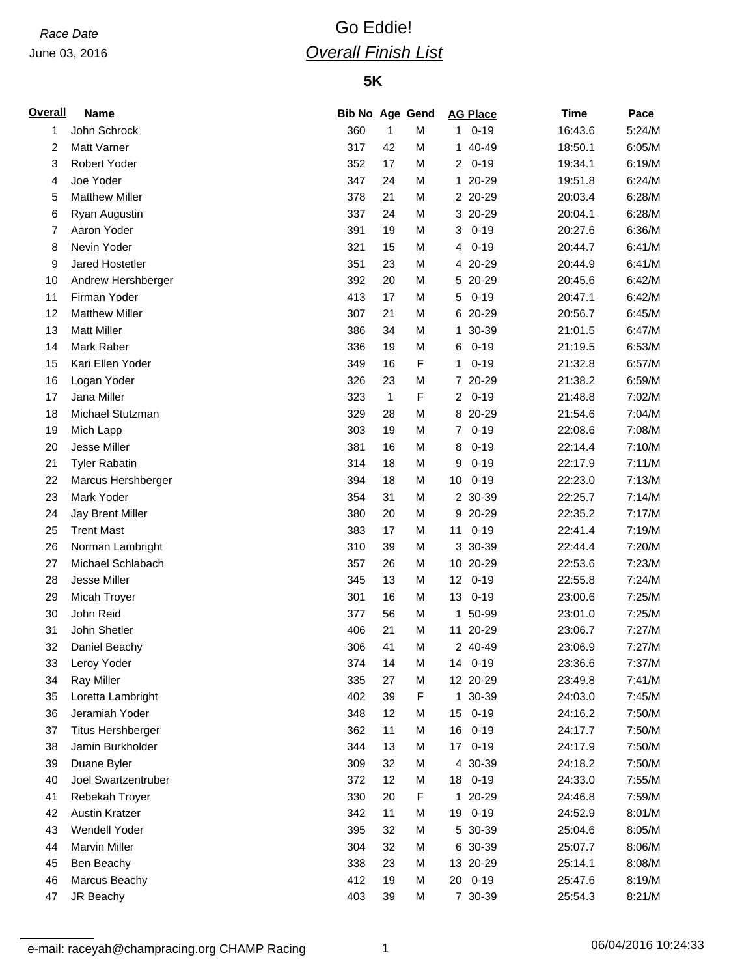### June 03, 2016

# *Race Date* Go Eddie! *Overall Finish List*

## **5K**

| <b>Overall</b> | <b>Name</b>              | <b>Bib No Age Gend</b> |              |   | <b>AG Place</b>             | <b>Time</b> | Pace   |
|----------------|--------------------------|------------------------|--------------|---|-----------------------------|-------------|--------|
| 1              | John Schrock             | 360                    | 1            | M | $0 - 19$<br>1               | 16:43.6     | 5:24/M |
| 2              | Matt Varner              | 317                    | 42           | M | 1 40-49                     | 18:50.1     | 6:05/M |
| 3              | Robert Yoder             | 352                    | 17           | M | $0 - 19$<br>$\overline{2}$  | 19:34.1     | 6:19/M |
| 4              | Joe Yoder                | 347                    | 24           | M | $\mathbf{1}$<br>20-29       | 19:51.8     | 6:24/M |
| 5              | <b>Matthew Miller</b>    | 378                    | 21           | M | 2 20-29                     | 20:03.4     | 6:28/M |
| 6              | Ryan Augustin            | 337                    | 24           | M | 3 20-29                     | 20:04.1     | 6:28/M |
| 7              | Aaron Yoder              | 391                    | 19           | M | $0 - 19$<br>3               | 20:27.6     | 6:36/M |
| 8              | Nevin Yoder              | 321                    | 15           | M | $0 - 19$<br>4               | 20:44.7     | 6:41/M |
| 9              | Jared Hostetler          | 351                    | 23           | M | 4 20-29                     | 20:44.9     | 6:41/M |
| 10             | Andrew Hershberger       | 392                    | 20           | M | 5 20-29                     | 20:45.6     | 6:42/M |
| 11             | Firman Yoder             | 413                    | 17           | M | $0 - 19$<br>5               | 20:47.1     | 6:42/M |
| 12             | <b>Matthew Miller</b>    | 307                    | 21           | M | 20-29<br>6                  | 20:56.7     | 6:45/M |
| 13             | <b>Matt Miller</b>       | 386                    | 34           | M | 30-39<br>1                  | 21:01.5     | 6:47/M |
| 14             | Mark Raber               | 336                    | 19           | M | $0 - 19$<br>6               | 21:19.5     | 6:53/M |
| 15             | Kari Ellen Yoder         | 349                    | 16           | F | $0 - 19$<br>1               | 21:32.8     | 6:57/M |
| 16             | Logan Yoder              | 326                    | 23           | M | 20-29<br>$\mathbf{7}$       | 21:38.2     | 6:59/M |
| 17             | Jana Miller              | 323                    | $\mathbf{1}$ | F | $0 - 19$<br>$\overline{2}$  | 21:48.8     | 7:02/M |
| 18             | Michael Stutzman         | 329                    | 28           | M | 8 20-29                     | 21:54.6     | 7:04/M |
| 19             | Mich Lapp                | 303                    | 19           | M | $0 - 19$<br>$\overline{7}$  | 22:08.6     | 7:08/M |
| 20             | Jesse Miller             | 381                    | 16           | M | $0 - 19$<br>8               | 22:14.4     | 7:10/M |
| 21             | <b>Tyler Rabatin</b>     | 314                    | 18           | M | $0 - 19$<br>9               | 22:17.9     | 7:11/M |
| 22             | Marcus Hershberger       | 394                    | 18           | M | $0 - 19$<br>10              | 22:23.0     | 7:13/M |
| 23             | Mark Yoder               | 354                    | 31           | M | 2 30-39                     | 22:25.7     | 7:14/M |
| 24             | Jay Brent Miller         | 380                    | 20           | M | 20-29<br>9                  | 22:35.2     | 7:17/M |
| 25             | <b>Trent Mast</b>        | 383                    | 17           | M | $0 - 19$<br>11              | 22:41.4     | 7:19/M |
| 26             | Norman Lambright         | 310                    | 39           | M | 30-39<br>3                  | 22:44.4     | 7:20/M |
| 27             | Michael Schlabach        | 357                    | 26           | M | 10 20-29                    | 22:53.6     | 7:23/M |
| 28             | Jesse Miller             | 345                    | 13           | M | 12<br>$0 - 19$              | 22:55.8     | 7:24/M |
| 29             | Micah Troyer             | 301                    | 16           | M | 13<br>$0 - 19$              | 23:00.6     | 7:25/M |
| 30             | John Reid                | 377                    | 56           | M | 50-99<br>1.                 | 23:01.0     | 7:25/M |
| 31             | John Shetler             | 406                    | 21           | M | 11 20-29                    | 23:06.7     | 7:27/M |
| 32             | Daniel Beachy            | 306                    | 41           | M | 2 40-49                     | 23:06.9     | 7:27/M |
| 33             | Leroy Yoder              | 374                    | 14           | M | 14<br>$0 - 19$              | 23:36.6     | 7:37/M |
| 34             | <b>Ray Miller</b>        | 335                    | 27           | M | 12 20-29                    | 23:49.8     | 7:41/M |
| 35             | Loretta Lambright        | 402                    | 39           | F | 1 30-39                     | 24:03.0     | 7:45/M |
| 36             | Jeramiah Yoder           | 348                    | 12           | M | $0 - 19$<br>15              | 24:16.2     | 7:50/M |
| 37             | <b>Titus Hershberger</b> | 362                    | 11           | M | 16<br>$0 - 19$              | 24:17.7     | 7:50/M |
| 38             | Jamin Burkholder         | 344                    | 13           | M | $0 - 19$<br>17 <sub>1</sub> | 24:17.9     | 7:50/M |
| 39             | Duane Byler              | 309                    | 32           | M | 4 30-39                     | 24:18.2     | 7:50/M |
| 40             | Joel Swartzentruber      | 372                    | 12           | M | $0 - 19$<br>18              | 24:33.0     | 7:55/M |
| 41             | Rebekah Troyer           | 330                    | 20           | F | 20-29<br>$\mathbf{1}$       | 24:46.8     | 7:59/M |
| 42             | Austin Kratzer           | 342                    | 11           | M | $0 - 19$<br>19              | 24:52.9     | 8:01/M |
| 43             | Wendell Yoder            | 395                    | 32           | M | 5 30-39                     | 25:04.6     | 8:05/M |
| 44             | <b>Marvin Miller</b>     | 304                    | 32           | M | 6 30-39                     | 25:07.7     | 8:06/M |
| 45             | Ben Beachy               | 338                    | 23           | M | 13 20-29                    | 25:14.1     | 8:08/M |
| 46             | Marcus Beachy            | 412                    | 19           | M | $0 - 19$<br>20              | 25:47.6     | 8:19/M |
| 47             | JR Beachy                | 403                    | 39           | M | 7 30-39                     | 25:54.3     | 8:21/M |

e-mail: raceyah@champracing.org CHAMP Racing 1 1 1 06/04/2016 10:24:33